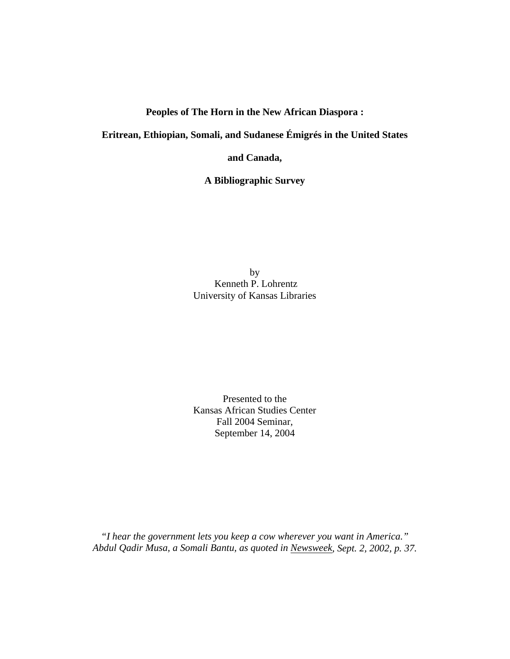# **Peoples of The Horn in the New African Diaspora :**

**Eritrean, Ethiopian, Somali, and Sudanese Émigrés in the United States** 

**and Canada,** 

**A Bibliographic Survey** 

by Kenneth P. Lohrentz University of Kansas Libraries

Presented to the Kansas African Studies Center Fall 2004 Seminar, September 14, 2004

*"I hear the government lets you keep a cow wherever you want in America." Abdul Qadir Musa, a Somali Bantu, as quoted in Newsweek, Sept. 2, 2002, p. 37.*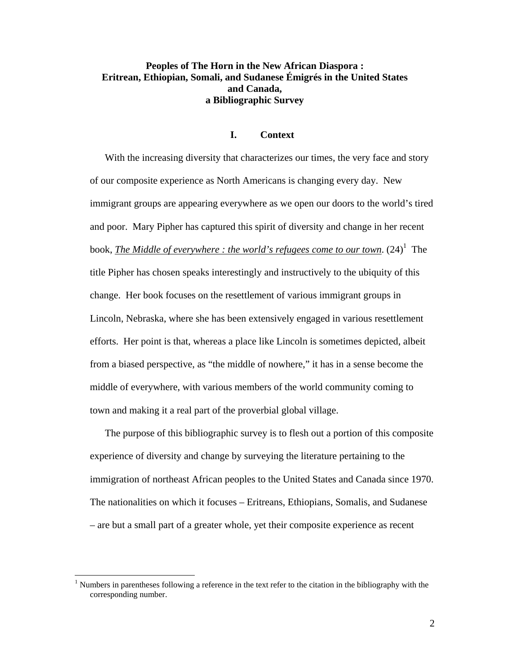# **Peoples of The Horn in the New African Diaspora : Eritrean, Ethiopian, Somali, and Sudanese Émigrés in the United States and Canada, a Bibliographic Survey**

#### **I. Context**

With the increasing diversity that characterizes our times, the very face and story of our composite experience as North Americans is changing every day. New immigrant groups are appearing everywhere as we open our doors to the world's tired and poor. Mary Pipher has captured this spirit of diversity and change in her recent book, *The Middle of everywhere : the world's refugees come to our town*.  $(24)^{1}$  The title Pipher has chosen speaks interestingly and instructively to the ubiquity of this change. Her book focuses on the resettlement of various immigrant groups in Lincoln, Nebraska, where she has been extensively engaged in various resettlement efforts. Her point is that, whereas a place like Lincoln is sometimes depicted, albeit from a biased perspective, as "the middle of nowhere," it has in a sense become the middle of everywhere, with various members of the world community coming to town and making it a real part of the proverbial global village.

The purpose of this bibliographic survey is to flesh out a portion of this composite experience of diversity and change by surveying the literature pertaining to the immigration of northeast African peoples to the United States and Canada since 1970. The nationalities on which it focuses – Eritreans, Ethiopians, Somalis, and Sudanese – are but a small part of a greater whole, yet their composite experience as recent

<sup>&</sup>lt;sup>1</sup> Numbers in parentheses following a reference in the text refer to the citation in the bibliography with the corresponding number.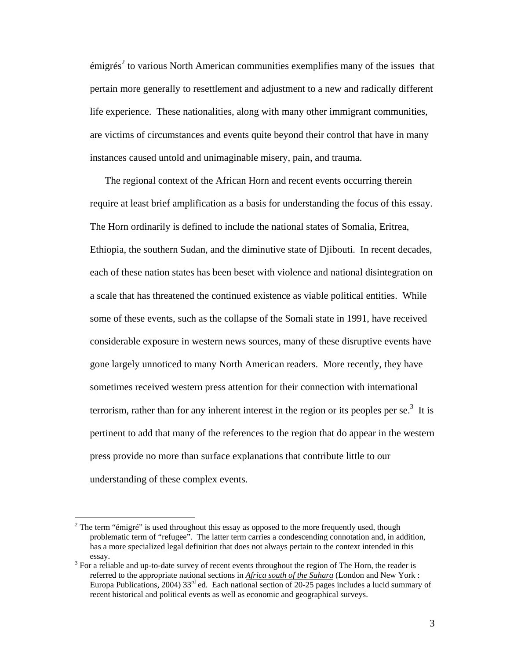$\epsilon$ migrés<sup>2</sup> to various North American communities exemplifies many of the issues that pertain more generally to resettlement and adjustment to a new and radically different life experience. These nationalities, along with many other immigrant communities, are victims of circumstances and events quite beyond their control that have in many instances caused untold and unimaginable misery, pain, and trauma.

The regional context of the African Horn and recent events occurring therein require at least brief amplification as a basis for understanding the focus of this essay. The Horn ordinarily is defined to include the national states of Somalia, Eritrea, Ethiopia, the southern Sudan, and the diminutive state of Djibouti. In recent decades, each of these nation states has been beset with violence and national disintegration on a scale that has threatened the continued existence as viable political entities. While some of these events, such as the collapse of the Somali state in 1991, have received considerable exposure in western news sources, many of these disruptive events have gone largely unnoticed to many North American readers. More recently, they have sometimes received western press attention for their connection with international terrorism, rather than for any inherent interest in the region or its peoples per se.<sup>3</sup> It is pertinent to add that many of the references to the region that do appear in the western press provide no more than surface explanations that contribute little to our understanding of these complex events.

<sup>&</sup>lt;sup>2</sup> The term "émigré" is used throughout this essay as opposed to the more frequently used, though problematic term of "refugee". The latter term carries a condescending connotation and, in addition, has a more specialized legal definition that does not always pertain to the context intended in this essay.<br><sup>3</sup> For a reliable and up-to-date survey of recent events throughout the region of The Horn, the reader is

referred to the appropriate national sections in *Africa south of the Sahara* (London and New York : Europa Publications, 2004) 33<sup>rd</sup> ed. Each national section of 20-25 pages includes a lucid summary of recent historical and political events as well as economic and geographical surveys.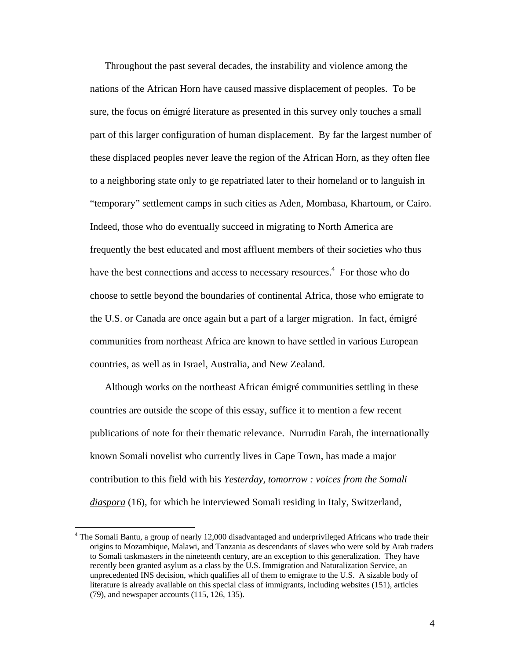Throughout the past several decades, the instability and violence among the nations of the African Horn have caused massive displacement of peoples. To be sure, the focus on émigré literature as presented in this survey only touches a small part of this larger configuration of human displacement. By far the largest number of these displaced peoples never leave the region of the African Horn, as they often flee to a neighboring state only to ge repatriated later to their homeland or to languish in "temporary" settlement camps in such cities as Aden, Mombasa, Khartoum, or Cairo. Indeed, those who do eventually succeed in migrating to North America are frequently the best educated and most affluent members of their societies who thus have the best connections and access to necessary resources.<sup>4</sup> For those who do choose to settle beyond the boundaries of continental Africa, those who emigrate to the U.S. or Canada are once again but a part of a larger migration. In fact, émigré communities from northeast Africa are known to have settled in various European countries, as well as in Israel, Australia, and New Zealand.

Although works on the northeast African émigré communities settling in these countries are outside the scope of this essay, suffice it to mention a few recent publications of note for their thematic relevance. Nurrudin Farah, the internationally known Somali novelist who currently lives in Cape Town, has made a major contribution to this field with his *Yesterday, tomorrow : voices from the Somali diaspora* (16), for which he interviewed Somali residing in Italy, Switzerland,

 $\overline{a}$ 

<sup>&</sup>lt;sup>4</sup> The Somali Bantu, a group of nearly 12,000 disadvantaged and underprivileged Africans who trade their origins to Mozambique, Malawi, and Tanzania as descendants of slaves who were sold by Arab traders to Somali taskmasters in the nineteenth century, are an exception to this generalization. They have recently been granted asylum as a class by the U.S. Immigration and Naturalization Service, an unprecedented INS decision, which qualifies all of them to emigrate to the U.S. A sizable body of literature is already available on this special class of immigrants, including websites (151), articles (79), and newspaper accounts (115, 126, 135).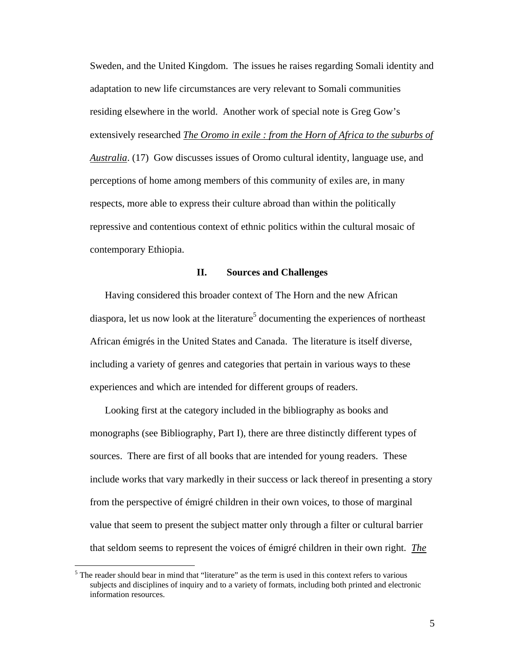Sweden, and the United Kingdom. The issues he raises regarding Somali identity and adaptation to new life circumstances are very relevant to Somali communities residing elsewhere in the world. Another work of special note is Greg Gow's extensively researched *The Oromo in exile : from the Horn of Africa to the suburbs of Australia*. (17) Gow discusses issues of Oromo cultural identity, language use, and perceptions of home among members of this community of exiles are, in many respects, more able to express their culture abroad than within the politically repressive and contentious context of ethnic politics within the cultural mosaic of contemporary Ethiopia.

### **II. Sources and Challenges**

Having considered this broader context of The Horn and the new African diaspora, let us now look at the literature<sup>5</sup> documenting the experiences of northeast African émigrés in the United States and Canada. The literature is itself diverse, including a variety of genres and categories that pertain in various ways to these experiences and which are intended for different groups of readers.

Looking first at the category included in the bibliography as books and monographs (see Bibliography, Part I), there are three distinctly different types of sources. There are first of all books that are intended for young readers. These include works that vary markedly in their success or lack thereof in presenting a story from the perspective of émigré children in their own voices, to those of marginal value that seem to present the subject matter only through a filter or cultural barrier that seldom seems to represent the voices of émigré children in their own right. *The* 

 $\overline{a}$ 

<sup>&</sup>lt;sup>5</sup> The reader should bear in mind that "literature" as the term is used in this context refers to various subjects and disciplines of inquiry and to a variety of formats, including both printed and electronic information resources.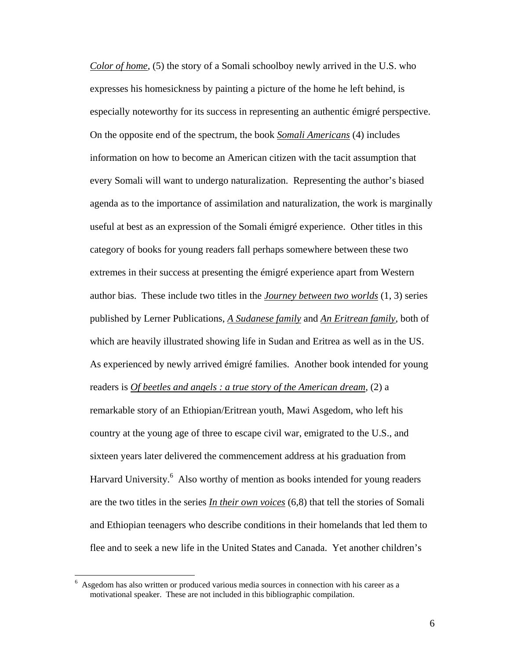*Color of home*, (5) the story of a Somali schoolboy newly arrived in the U.S. who expresses his homesickness by painting a picture of the home he left behind, is especially noteworthy for its success in representing an authentic émigré perspective. On the opposite end of the spectrum, the book *Somali Americans* (4) includes information on how to become an American citizen with the tacit assumption that every Somali will want to undergo naturalization. Representing the author's biased agenda as to the importance of assimilation and naturalization, the work is marginally useful at best as an expression of the Somali émigré experience. Other titles in this category of books for young readers fall perhaps somewhere between these two extremes in their success at presenting the émigré experience apart from Western author bias. These include two titles in the *Journey between two worlds* (1, 3) series published by Lerner Publications, *A Sudanese family* and *An Eritrean family*, both of which are heavily illustrated showing life in Sudan and Eritrea as well as in the US. As experienced by newly arrived émigré families. Another book intended for young readers is *Of beetles and angels : a true story of the American dream*, (2) a remarkable story of an Ethiopian/Eritrean youth, Mawi Asgedom, who left his country at the young age of three to escape civil war, emigrated to the U.S., and sixteen years later delivered the commencement address at his graduation from Harvard University.<sup>6</sup> Also worthy of mention as books intended for young readers are the two titles in the series *In their own voices* (6,8) that tell the stories of Somali and Ethiopian teenagers who describe conditions in their homelands that led them to flee and to seek a new life in the United States and Canada. Yet another children's

 6 Asgedom has also written or produced various media sources in connection with his career as a motivational speaker. These are not included in this bibliographic compilation.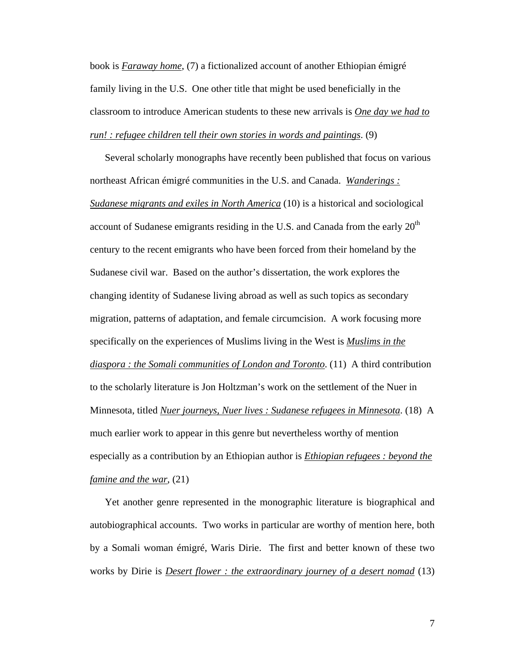book is *Faraway home*, (7) a fictionalized account of another Ethiopian émigré family living in the U.S. One other title that might be used beneficially in the classroom to introduce American students to these new arrivals is *One day we had to run! : refugee children tell their own stories in words and paintings*. (9)

Several scholarly monographs have recently been published that focus on various northeast African émigré communities in the U.S. and Canada. *Wanderings : Sudanese migrants and exiles in North America* (10) is a historical and sociological account of Sudanese emigrants residing in the U.S. and Canada from the early  $20<sup>th</sup>$ century to the recent emigrants who have been forced from their homeland by the Sudanese civil war. Based on the author's dissertation, the work explores the changing identity of Sudanese living abroad as well as such topics as secondary migration, patterns of adaptation, and female circumcision. A work focusing more specifically on the experiences of Muslims living in the West is *Muslims in the diaspora : the Somali communities of London and Toronto*. (11) A third contribution to the scholarly literature is Jon Holtzman's work on the settlement of the Nuer in Minnesota, titled *Nuer journeys, Nuer lives : Sudanese refugees in Minnesota*. (18) A much earlier work to appear in this genre but nevertheless worthy of mention especially as a contribution by an Ethiopian author is *Ethiopian refugees : beyond the famine and the war*, (21)

Yet another genre represented in the monographic literature is biographical and autobiographical accounts. Two works in particular are worthy of mention here, both by a Somali woman émigré, Waris Dirie. The first and better known of these two works by Dirie is *Desert flower : the extraordinary journey of a desert nomad* (13)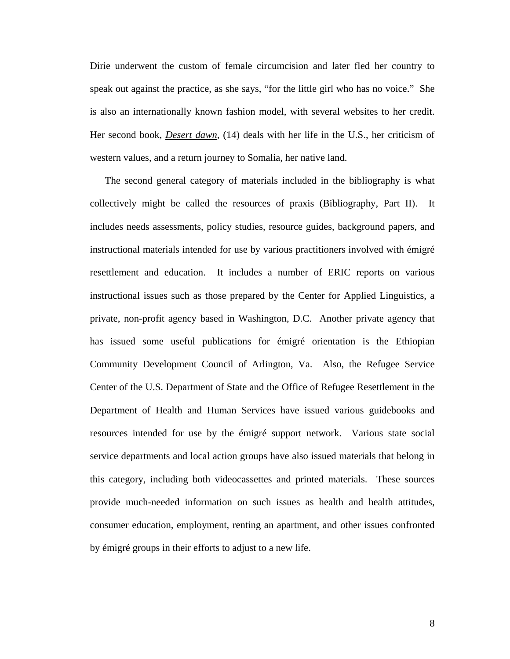Dirie underwent the custom of female circumcision and later fled her country to speak out against the practice, as she says, "for the little girl who has no voice." She is also an internationally known fashion model, with several websites to her credit. Her second book, *Desert dawn*, (14) deals with her life in the U.S., her criticism of western values, and a return journey to Somalia, her native land.

The second general category of materials included in the bibliography is what collectively might be called the resources of praxis (Bibliography, Part II). It includes needs assessments, policy studies, resource guides, background papers, and instructional materials intended for use by various practitioners involved with émigré resettlement and education. It includes a number of ERIC reports on various instructional issues such as those prepared by the Center for Applied Linguistics, a private, non-profit agency based in Washington, D.C. Another private agency that has issued some useful publications for émigré orientation is the Ethiopian Community Development Council of Arlington, Va. Also, the Refugee Service Center of the U.S. Department of State and the Office of Refugee Resettlement in the Department of Health and Human Services have issued various guidebooks and resources intended for use by the émigré support network. Various state social service departments and local action groups have also issued materials that belong in this category, including both videocassettes and printed materials. These sources provide much-needed information on such issues as health and health attitudes, consumer education, employment, renting an apartment, and other issues confronted by émigré groups in their efforts to adjust to a new life.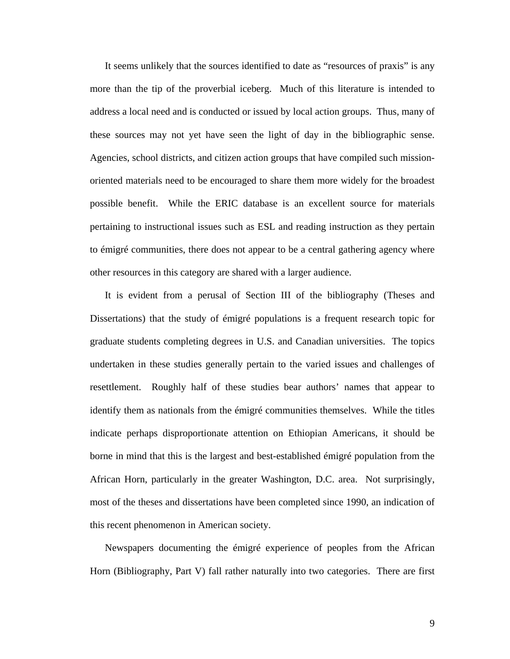It seems unlikely that the sources identified to date as "resources of praxis" is any more than the tip of the proverbial iceberg. Much of this literature is intended to address a local need and is conducted or issued by local action groups. Thus, many of these sources may not yet have seen the light of day in the bibliographic sense. Agencies, school districts, and citizen action groups that have compiled such missionoriented materials need to be encouraged to share them more widely for the broadest possible benefit. While the ERIC database is an excellent source for materials pertaining to instructional issues such as ESL and reading instruction as they pertain to émigré communities, there does not appear to be a central gathering agency where other resources in this category are shared with a larger audience.

It is evident from a perusal of Section III of the bibliography (Theses and Dissertations) that the study of émigré populations is a frequent research topic for graduate students completing degrees in U.S. and Canadian universities. The topics undertaken in these studies generally pertain to the varied issues and challenges of resettlement. Roughly half of these studies bear authors' names that appear to identify them as nationals from the émigré communities themselves. While the titles indicate perhaps disproportionate attention on Ethiopian Americans, it should be borne in mind that this is the largest and best-established émigré population from the African Horn, particularly in the greater Washington, D.C. area. Not surprisingly, most of the theses and dissertations have been completed since 1990, an indication of this recent phenomenon in American society.

Newspapers documenting the émigré experience of peoples from the African Horn (Bibliography, Part V) fall rather naturally into two categories. There are first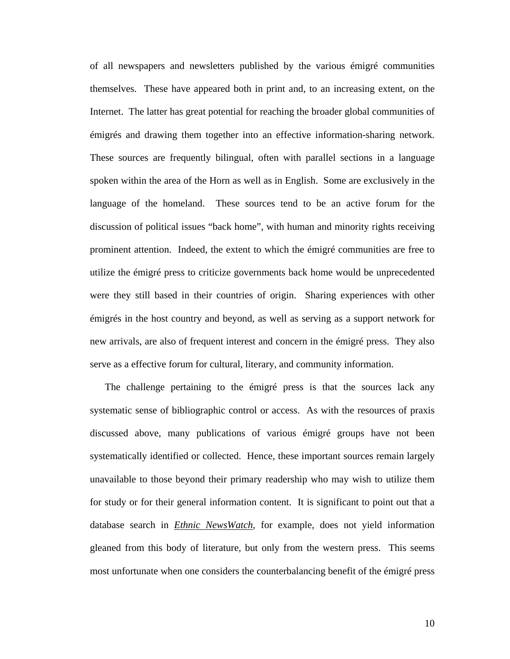of all newspapers and newsletters published by the various émigré communities themselves. These have appeared both in print and, to an increasing extent, on the Internet. The latter has great potential for reaching the broader global communities of émigrés and drawing them together into an effective information-sharing network. These sources are frequently bilingual, often with parallel sections in a language spoken within the area of the Horn as well as in English. Some are exclusively in the language of the homeland. These sources tend to be an active forum for the discussion of political issues "back home", with human and minority rights receiving prominent attention. Indeed, the extent to which the émigré communities are free to utilize the émigré press to criticize governments back home would be unprecedented were they still based in their countries of origin. Sharing experiences with other émigrés in the host country and beyond, as well as serving as a support network for new arrivals, are also of frequent interest and concern in the émigré press. They also serve as a effective forum for cultural, literary, and community information.

The challenge pertaining to the émigré press is that the sources lack any systematic sense of bibliographic control or access. As with the resources of praxis discussed above, many publications of various émigré groups have not been systematically identified or collected. Hence, these important sources remain largely unavailable to those beyond their primary readership who may wish to utilize them for study or for their general information content. It is significant to point out that a database search in *Ethnic NewsWatch*, for example, does not yield information gleaned from this body of literature, but only from the western press. This seems most unfortunate when one considers the counterbalancing benefit of the émigré press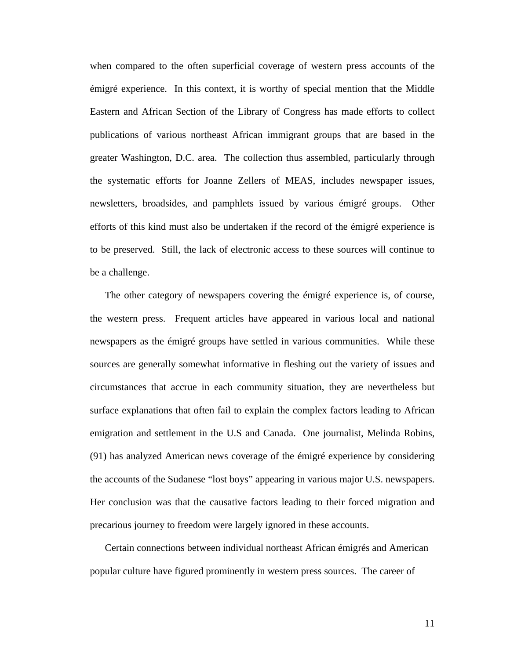when compared to the often superficial coverage of western press accounts of the émigré experience. In this context, it is worthy of special mention that the Middle Eastern and African Section of the Library of Congress has made efforts to collect publications of various northeast African immigrant groups that are based in the greater Washington, D.C. area. The collection thus assembled, particularly through the systematic efforts for Joanne Zellers of MEAS, includes newspaper issues, newsletters, broadsides, and pamphlets issued by various émigré groups. Other efforts of this kind must also be undertaken if the record of the émigré experience is to be preserved. Still, the lack of electronic access to these sources will continue to be a challenge.

The other category of newspapers covering the émigré experience is, of course, the western press. Frequent articles have appeared in various local and national newspapers as the émigré groups have settled in various communities. While these sources are generally somewhat informative in fleshing out the variety of issues and circumstances that accrue in each community situation, they are nevertheless but surface explanations that often fail to explain the complex factors leading to African emigration and settlement in the U.S and Canada. One journalist, Melinda Robins, (91) has analyzed American news coverage of the émigré experience by considering the accounts of the Sudanese "lost boys" appearing in various major U.S. newspapers. Her conclusion was that the causative factors leading to their forced migration and precarious journey to freedom were largely ignored in these accounts.

Certain connections between individual northeast African émigrés and American popular culture have figured prominently in western press sources. The career of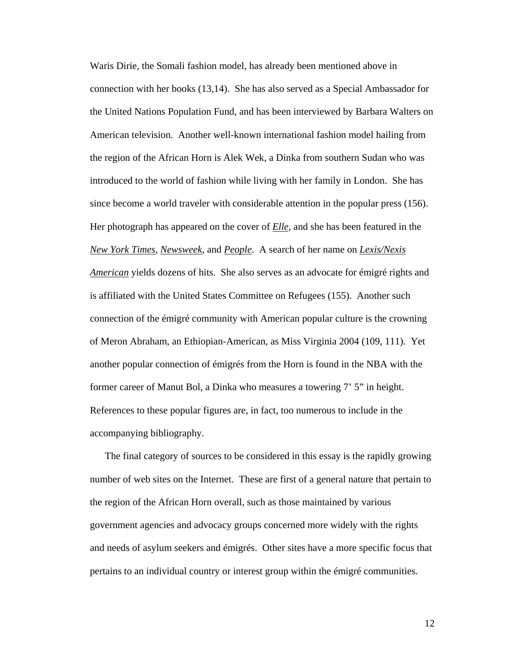Waris Dirie, the Somali fashion model, has already been mentioned above in connection with her books (13,14). She has also served as a Special Ambassador for the United Nations Population Fund, and has been interviewed by Barbara Walters on American television. Another well-known international fashion model hailing from the region of the African Horn is Alek Wek, a Dinka from southern Sudan who was introduced to the world of fashion while living with her family in London. She has since become a world traveler with considerable attention in the popular press (156). Her photograph has appeared on the cover of *Elle*, and she has been featured in the *New York Times*, *Newsweek*, and *People*. A search of her name on *Lexis/Nexis American* yields dozens of hits. She also serves as an advocate for émigré rights and is affiliated with the United States Committee on Refugees (155). Another such connection of the émigré community with American popular culture is the crowning of Meron Abraham, an Ethiopian-American, as Miss Virginia 2004 (109, 111). Yet another popular connection of émigrés from the Horn is found in the NBA with the former career of Manut Bol, a Dinka who measures a towering 7' 5" in height. References to these popular figures are, in fact, too numerous to include in the accompanying bibliography.

The final category of sources to be considered in this essay is the rapidly growing number of web sites on the Internet. These are first of a general nature that pertain to the region of the African Horn overall, such as those maintained by various government agencies and advocacy groups concerned more widely with the rights and needs of asylum seekers and émigrés. Other sites have a more specific focus that pertains to an individual country or interest group within the émigré communities.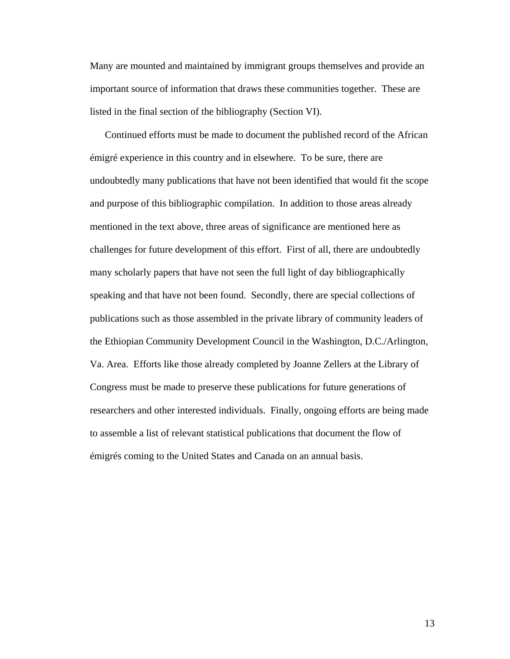Many are mounted and maintained by immigrant groups themselves and provide an important source of information that draws these communities together. These are listed in the final section of the bibliography (Section VI).

Continued efforts must be made to document the published record of the African émigré experience in this country and in elsewhere. To be sure, there are undoubtedly many publications that have not been identified that would fit the scope and purpose of this bibliographic compilation. In addition to those areas already mentioned in the text above, three areas of significance are mentioned here as challenges for future development of this effort. First of all, there are undoubtedly many scholarly papers that have not seen the full light of day bibliographically speaking and that have not been found. Secondly, there are special collections of publications such as those assembled in the private library of community leaders of the Ethiopian Community Development Council in the Washington, D.C./Arlington, Va. Area. Efforts like those already completed by Joanne Zellers at the Library of Congress must be made to preserve these publications for future generations of researchers and other interested individuals. Finally, ongoing efforts are being made to assemble a list of relevant statistical publications that document the flow of émigrés coming to the United States and Canada on an annual basis.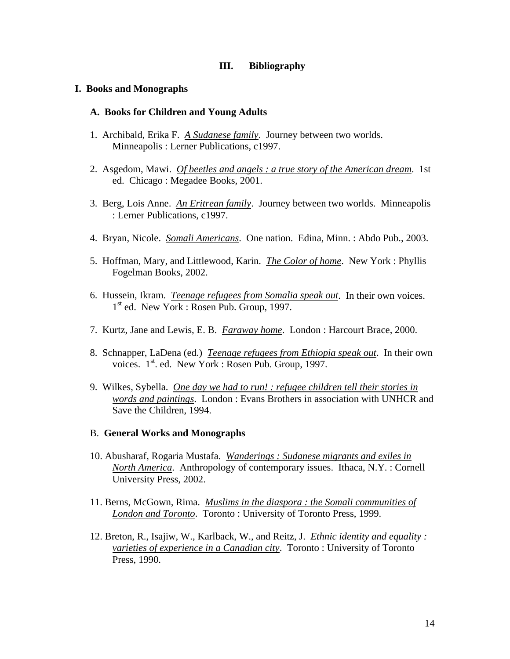### **III. Bibliography**

### **I. Books and Monographs**

### **A. Books for Children and Young Adults**

- 1. Archibald, Erika F. *A Sudanese family*. Journey between two worlds. Minneapolis : Lerner Publications, c1997.
- 2. Asgedom, Mawi. *Of beetles and angels : a true story of the American dream*. 1st ed. Chicago : Megadee Books, 2001.
- 3. Berg, Lois Anne. *An Eritrean family*. Journey between two worlds. Minneapolis : Lerner Publications, c1997.
- 4. Bryan, Nicole. *Somali Americans*. One nation. Edina, Minn. : Abdo Pub., 2003.
- 5. Hoffman, Mary, and Littlewood, Karin. *The Color of home*. New York : Phyllis Fogelman Books, 2002.
- 6. Hussein, Ikram. *Teenage refugees from Somalia speak out*. In their own voices. 1<sup>st</sup> ed. New York : Rosen Pub. Group, 1997.
- 7. Kurtz, Jane and Lewis, E. B. *Faraway home*. London : Harcourt Brace, 2000.
- 8. Schnapper, LaDena (ed.) *Teenage refugees from Ethiopia speak out*. In their own voices. 1<sup>st</sup>. ed. New York : Rosen Pub. Group, 1997.
- 9. Wilkes, Sybella. *One day we had to run! : refugee children tell their stories in words and paintings*. London : Evans Brothers in association with UNHCR and Save the Children, 1994.

### B. **General Works and Monographs**

- 10. Abusharaf, Rogaria Mustafa. *Wanderings : Sudanese migrants and exiles in North America*. Anthropology of contemporary issues. Ithaca, N.Y. : Cornell University Press, 2002.
- 11. Berns, McGown, Rima. *Muslims in the diaspora : the Somali communities of London and Toronto*. Toronto : University of Toronto Press, 1999.
- 12. Breton, R., Isajiw, W., Karlback, W., and Reitz, J. *Ethnic identity and equality : varieties of experience in a Canadian city*. Toronto : University of Toronto Press, 1990.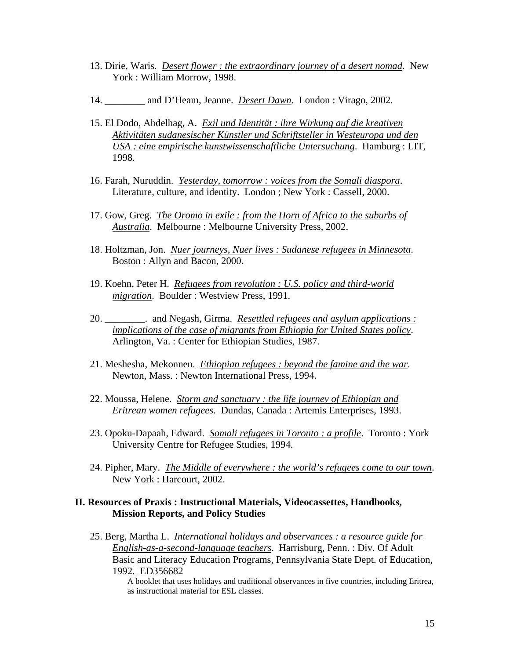- 13. Dirie, Waris. *Desert flower : the extraordinary journey of a desert nomad*. New York : William Morrow, 1998.
- 14. \_\_\_\_\_\_\_\_ and D'Heam, Jeanne. *Desert Dawn*. London : Virago, 2002.
- 15. El Dodo, Abdelhag, A. *Exil und Identität : ihre Wirkung auf die kreativen Aktivitäten sudanesischer Künstler und Schriftsteller in Westeuropa und den USA : eine empirische kunstwissenschaftliche Untersuchung*. Hamburg : LIT, 1998.
- 16. Farah, Nuruddin. *Yesterday, tomorrow : voices from the Somali diaspora*. Literature, culture, and identity. London ; New York : Cassell, 2000.
- 17. Gow, Greg. *The Oromo in exile : from the Horn of Africa to the suburbs of Australia*. Melbourne : Melbourne University Press, 2002.
- 18. Holtzman, Jon. *Nuer journeys, Nuer lives : Sudanese refugees in Minnesota*. Boston : Allyn and Bacon, 2000.
- 19. Koehn, Peter H. *Refugees from revolution : U.S. policy and third-world migration*. Boulder : Westview Press, 1991.
- 20. \_\_\_\_\_\_\_\_. and Negash, Girma. *Resettled refugees and asylum applications : implications of the case of migrants from Ethiopia for United States policy*. Arlington, Va. : Center for Ethiopian Studies, 1987.
- 21. Meshesha, Mekonnen. *Ethiopian refugees : beyond the famine and the war*. Newton, Mass. : Newton International Press, 1994.
- 22. Moussa, Helene. *Storm and sanctuary : the life journey of Ethiopian and Eritrean women refugees*. Dundas, Canada : Artemis Enterprises, 1993.
- 23. Opoku-Dapaah, Edward. *Somali refugees in Toronto : a profile*. Toronto : York University Centre for Refugee Studies, 1994.
- 24. Pipher, Mary. *The Middle of everywhere : the world's refugees come to our town*. New York : Harcourt, 2002.

### **II. Resources of Praxis : Instructional Materials, Videocassettes, Handbooks, Mission Reports, and Policy Studies**

25. Berg, Martha L. *International holidays and observances : a resource guide for English-as-a-second-language teachers*. Harrisburg, Penn. : Div. Of Adult Basic and Literacy Education Programs, Pennsylvania State Dept. of Education, 1992. ED356682

A booklet that uses holidays and traditional observances in five countries, including Eritrea, as instructional material for ESL classes.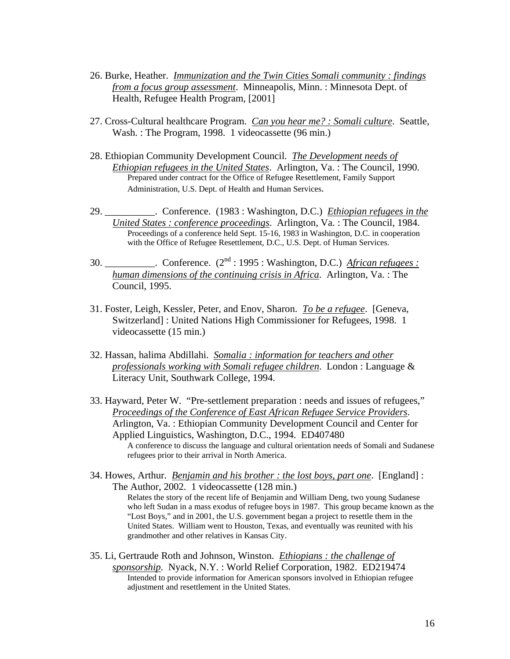- 26. Burke, Heather. *Immunization and the Twin Cities Somali community : findings from a focus group assessment*. Minneapolis, Minn. : Minnesota Dept. of Health, Refugee Health Program, [2001]
- 27. Cross-Cultural healthcare Program. *Can you hear me? : Somali culture*. Seattle, Wash. : The Program, 1998. 1 videocassette (96 min.)
- 28. Ethiopian Community Development Council. *The Development needs of Ethiopian refugees in the United States*. Arlington, Va. : The Council, 1990. Prepared under contract for the Office of Refugee Resettlement, Family Support Administration, U.S. Dept. of Health and Human Services.
- 29. \_\_\_\_\_\_\_\_\_\_. Conference. (1983 : Washington, D.C.) *Ethiopian refugees in the United States : conference proceedings*. Arlington, Va. : The Council, 1984. Proceedings of a conference held Sept. 15-16, 1983 in Washington, D.C. in cooperation with the Office of Refugee Resettlement, D.C., U.S. Dept. of Human Services.
- 30. \_\_\_\_\_\_\_\_\_\_. Conference. (2nd : 1995 : Washington, D.C.) *African refugees : human dimensions of the continuing crisis in Africa*. Arlington, Va. : The Council, 1995.
- 31. Foster, Leigh, Kessler, Peter, and Enov, Sharon. *To be a refugee*. [Geneva, Switzerland] : United Nations High Commissioner for Refugees, 1998. 1 videocassette (15 min.)
- 32. Hassan, halima Abdillahi. *Somalia : information for teachers and other professionals working with Somali refugee children*. London : Language & Literacy Unit, Southwark College, 1994.
- 33. Hayward, Peter W. "Pre-settlement preparation : needs and issues of refugees," *Proceedings of the Conference of East African Refugee Service Providers*. Arlington, Va. : Ethiopian Community Development Council and Center for Applied Linguistics, Washington, D.C., 1994. ED407480 A conference to discuss the language and cultural orientation needs of Somali and Sudanese refugees prior to their arrival in North America.
- 34. Howes, Arthur. *Benjamin and his brother : the lost boys, part one*. [England] : The Author, 2002. 1 videocassette (128 min.) Relates the story of the recent life of Benjamin and William Deng, two young Sudanese who left Sudan in a mass exodus of refugee boys in 1987. This group became known as the "Lost Boys," and in 2001, the U.S. government began a project to resettle them in the United States. William went to Houston, Texas, and eventually was reunited with his grandmother and other relatives in Kansas City.
- 35. Li, Gertraude Roth and Johnson, Winston. *Ethiopians : the challenge of sponsorship*. Nyack, N.Y. : World Relief Corporation, 1982. ED219474 Intended to provide information for American sponsors involved in Ethiopian refugee adjustment and resettlement in the United States.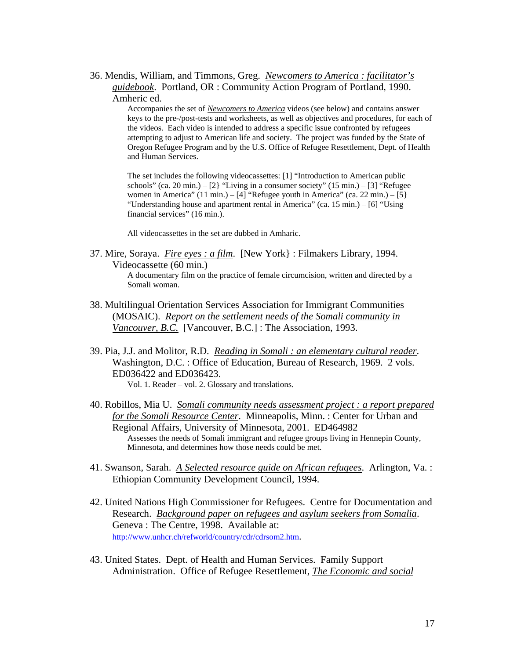36. Mendis, William, and Timmons, Greg. *Newcomers to America : facilitator's guidebook*. Portland, OR : Community Action Program of Portland, 1990. Amheric ed.

> Accompanies the set of *Newcomers to America* videos (see below) and contains answer keys to the pre-/post-tests and worksheets, as well as objectives and procedures, for each of the videos. Each video is intended to address a specific issue confronted by refugees attempting to adjust to American life and society. The project was funded by the State of Oregon Refugee Program and by the U.S. Office of Refugee Resettlement, Dept. of Health and Human Services.

The set includes the following videocassettes: [1] "Introduction to American public schools" (ca. 20 min.) –  $[2]$  "Living in a consumer society" (15 min.) –  $[3]$  "Refugee women in America" (11 min.) – [4] "Refugee youth in America" (ca. 22 min.) – [5] "Understanding house and apartment rental in America" (ca. 15 min.) – [6] "Using financial services" (16 min.).

All videocassettes in the set are dubbed in Amharic.

37. Mire, Soraya. *Fire eyes : a film*. [New York} : Filmakers Library, 1994. Videocassette (60 min.)

A documentary film on the practice of female circumcision, written and directed by a Somali woman.

- 38. Multilingual Orientation Services Association for Immigrant Communities (MOSAIC). *Report on the settlement needs of the Somali community in Vancouver, B.C.* [Vancouver, B.C.] : The Association, 1993.
- 39. Pia, J.J. and Molitor, R.D. *Reading in Somali : an elementary cultural reader*. Washington, D.C. : Office of Education, Bureau of Research, 1969. 2 vols. ED036422 and ED036423. Vol. 1. Reader – vol. 2. Glossary and translations.
- 40. Robillos, Mia U. *Somali community needs assessment project : a report prepared for the Somali Resource Center*. Minneapolis, Minn. : Center for Urban and Regional Affairs, University of Minnesota, 2001. ED464982 Assesses the needs of Somali immigrant and refugee groups living in Hennepin County, Minnesota, and determines how those needs could be met.
- 41. Swanson, Sarah. *A Selected resource guide on African refugees*. Arlington, Va. : Ethiopian Community Development Council, 1994.
- 42. United Nations High Commissioner for Refugees. Centre for Documentation and Research. *Background paper on refugees and asylum seekers from Somalia*. Geneva : The Centre, 1998. Available at: http://www.unhcr.ch/refworld/country/cdr/cdrsom2.htm.
- 43. United States. Dept. of Health and Human Services. Family Support Administration. Office of Refugee Resettlement, *The Economic and social*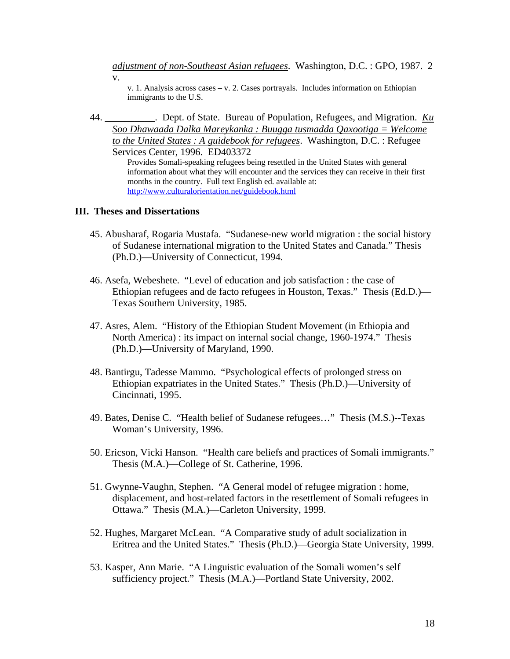*adjustment of non-Southeast Asian refugees*. Washington, D.C. : GPO, 1987. 2 v.

v. 1. Analysis across cases – v. 2. Cases portrayals. Includes information on Ethiopian immigrants to the U.S.

44. \_\_\_\_\_\_\_\_\_\_. Dept. of State. Bureau of Population, Refugees, and Migration. *Ku Soo Dhawaada Dalka Mareykanka : Buugga tusmadda Qaxootiga = Welcome to the United States : A guidebook for refugees*. Washington, D.C. : Refugee Services Center, 1996. ED403372

> Provides Somali-speaking refugees being resettled in the United States with general information about what they will encounter and the services they can receive in their first months in the country. Full text English ed. available at: http://www.culturalorientation.net/guidebook.html

#### **III. Theses and Dissertations**

- 45. Abusharaf, Rogaria Mustafa. "Sudanese-new world migration : the social history of Sudanese international migration to the United States and Canada." Thesis (Ph.D.)—University of Connecticut, 1994.
- 46. Asefa, Webeshete. "Level of education and job satisfaction : the case of Ethiopian refugees and de facto refugees in Houston, Texas." Thesis (Ed.D.)— Texas Southern University, 1985.
- 47. Asres, Alem. "History of the Ethiopian Student Movement (in Ethiopia and North America) : its impact on internal social change, 1960-1974." Thesis (Ph.D.)—University of Maryland, 1990.
- 48. Bantirgu, Tadesse Mammo. "Psychological effects of prolonged stress on Ethiopian expatriates in the United States." Thesis (Ph.D.)—University of Cincinnati, 1995.
- 49. Bates, Denise C. "Health belief of Sudanese refugees…" Thesis (M.S.)--Texas Woman's University, 1996.
- 50. Ericson, Vicki Hanson. "Health care beliefs and practices of Somali immigrants." Thesis (M.A.)—College of St. Catherine, 1996.
- 51. Gwynne-Vaughn, Stephen. "A General model of refugee migration : home, displacement, and host-related factors in the resettlement of Somali refugees in Ottawa." Thesis (M.A.)—Carleton University, 1999.
- 52. Hughes, Margaret McLean. "A Comparative study of adult socialization in Eritrea and the United States." Thesis (Ph.D.)—Georgia State University, 1999.
- 53. Kasper, Ann Marie. "A Linguistic evaluation of the Somali women's self sufficiency project." Thesis (M.A.)—Portland State University, 2002.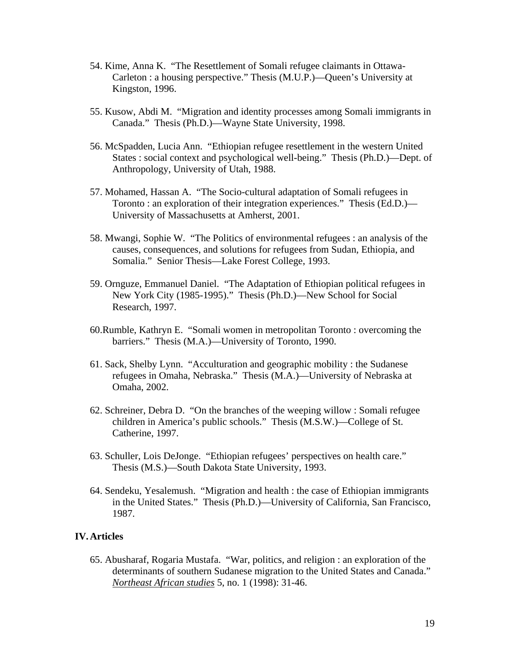- 54. Kime, Anna K. "The Resettlement of Somali refugee claimants in Ottawa-Carleton : a housing perspective." Thesis (M.U.P.)—Queen's University at Kingston, 1996.
- 55. Kusow, Abdi M. "Migration and identity processes among Somali immigrants in Canada." Thesis (Ph.D.)—Wayne State University, 1998.
- 56. McSpadden, Lucia Ann. "Ethiopian refugee resettlement in the western United States : social context and psychological well-being." Thesis (Ph.D.)—Dept. of Anthropology, University of Utah, 1988.
- 57. Mohamed, Hassan A. "The Socio-cultural adaptation of Somali refugees in Toronto : an exploration of their integration experiences." Thesis (Ed.D.)— University of Massachusetts at Amherst, 2001.
- 58. Mwangi, Sophie W. "The Politics of environmental refugees : an analysis of the causes, consequences, and solutions for refugees from Sudan, Ethiopia, and Somalia." Senior Thesis—Lake Forest College, 1993.
- 59. Ornguze, Emmanuel Daniel. "The Adaptation of Ethiopian political refugees in New York City (1985-1995)." Thesis (Ph.D.)—New School for Social Research, 1997.
- 60.Rumble, Kathryn E. "Somali women in metropolitan Toronto : overcoming the barriers." Thesis (M.A.)—University of Toronto, 1990.
- 61. Sack, Shelby Lynn. "Acculturation and geographic mobility : the Sudanese refugees in Omaha, Nebraska." Thesis (M.A.)—University of Nebraska at Omaha, 2002.
- 62. Schreiner, Debra D. "On the branches of the weeping willow : Somali refugee children in America's public schools." Thesis (M.S.W.)—College of St. Catherine, 1997.
- 63. Schuller, Lois DeJonge. "Ethiopian refugees' perspectives on health care." Thesis (M.S.)—South Dakota State University, 1993.
- 64. Sendeku, Yesalemush. "Migration and health : the case of Ethiopian immigrants in the United States." Thesis (Ph.D.)—University of California, San Francisco, 1987.

# **IV.Articles**

65. Abusharaf, Rogaria Mustafa. "War, politics, and religion : an exploration of the determinants of southern Sudanese migration to the United States and Canada." *Northeast African studies* 5, no. 1 (1998): 31-46.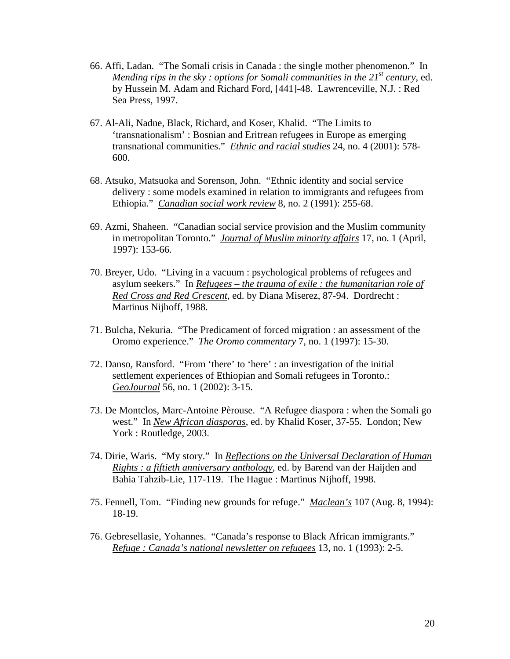- 66. Affi, Ladan. "The Somali crisis in Canada : the single mother phenomenon." In *Mending rips in the sky : options for Somali communities in the 21<sup>st</sup> century, ed.* by Hussein M. Adam and Richard Ford, [441]-48. Lawrenceville, N.J. : Red Sea Press, 1997.
- 67. Al-Ali, Nadne, Black, Richard, and Koser, Khalid. "The Limits to 'transnationalism' : Bosnian and Eritrean refugees in Europe as emerging transnational communities." *Ethnic and racial studies* 24, no. 4 (2001): 578- 600.
- 68. Atsuko, Matsuoka and Sorenson, John. "Ethnic identity and social service delivery : some models examined in relation to immigrants and refugees from Ethiopia." *Canadian social work review* 8, no. 2 (1991): 255-68.
- 69. Azmi, Shaheen. "Canadian social service provision and the Muslim community in metropolitan Toronto." *Journal of Muslim minority affairs* 17, no. 1 (April, 1997): 153-66.
- 70. Breyer, Udo. "Living in a vacuum : psychological problems of refugees and asylum seekers." In *Refugees – the trauma of exile : the humanitarian role of Red Cross and Red Crescent*, ed. by Diana Miserez, 87-94. Dordrecht : Martinus Nijhoff, 1988.
- 71. Bulcha, Nekuria. "The Predicament of forced migration : an assessment of the Oromo experience." *The Oromo commentary* 7, no. 1 (1997): 15-30.
- 72. Danso, Ransford. "From 'there' to 'here' : an investigation of the initial settlement experiences of Ethiopian and Somali refugees in Toronto.: *GeoJournal* 56, no. 1 (2002): 3-15.
- 73. De Montclos, Marc-Antoine Pèrouse. "A Refugee diaspora : when the Somali go west." In *New African diasporas*, ed. by Khalid Koser, 37-55. London; New York : Routledge, 2003.
- 74. Dirie, Waris. "My story." In *Reflections on the Universal Declaration of Human Rights : a fiftieth anniversary anthology*, ed. by Barend van der Haijden and Bahia Tahzib-Lie, 117-119. The Hague : Martinus Nijhoff, 1998.
- 75. Fennell, Tom. "Finding new grounds for refuge." *Maclean's* 107 (Aug. 8, 1994): 18-19.
- 76. Gebresellasie, Yohannes. "Canada's response to Black African immigrants." *Refuge : Canada's national newsletter on refugees* 13, no. 1 (1993): 2-5.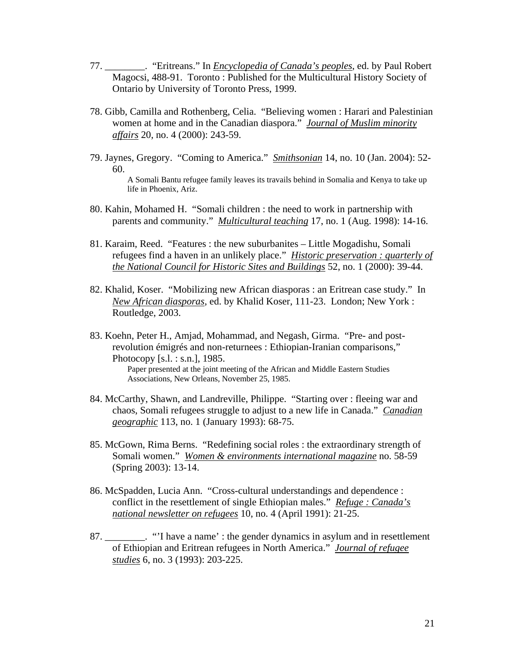- 77. \_\_\_\_\_\_\_\_. "Eritreans." In *Encyclopedia of Canada's peoples*, ed. by Paul Robert Magocsi, 488-91. Toronto : Published for the Multicultural History Society of Ontario by University of Toronto Press, 1999.
- 78. Gibb, Camilla and Rothenberg, Celia. "Believing women : Harari and Palestinian women at home and in the Canadian diaspora." *Journal of Muslim minority affairs* 20, no. 4 (2000): 243-59.
- 79. Jaynes, Gregory. "Coming to America." *Smithsonian* 14, no. 10 (Jan. 2004): 52- 60. A Somali Bantu refugee family leaves its travails behind in Somalia and Kenya to take up life in Phoenix, Ariz.
- 80. Kahin, Mohamed H. "Somali children : the need to work in partnership with parents and community." *Multicultural teaching* 17, no. 1 (Aug. 1998): 14-16.
- 81. Karaim, Reed. "Features : the new suburbanites Little Mogadishu, Somali refugees find a haven in an unlikely place." *Historic preservation : quarterly of the National Council for Historic Sites and Buildings* 52, no. 1 (2000): 39-44.
- 82. Khalid, Koser. "Mobilizing new African diasporas : an Eritrean case study." In *New African diasporas*, ed. by Khalid Koser, 111-23. London; New York : Routledge, 2003.
- 83. Koehn, Peter H., Amjad, Mohammad, and Negash, Girma. "Pre- and postrevolution émigrés and non-returnees : Ethiopian-Iranian comparisons," Photocopy [s.l. : s.n.], 1985. Paper presented at the joint meeting of the African and Middle Eastern Studies Associations, New Orleans, November 25, 1985.
- 84. McCarthy, Shawn, and Landreville, Philippe. "Starting over : fleeing war and chaos, Somali refugees struggle to adjust to a new life in Canada." *Canadian geographic* 113, no. 1 (January 1993): 68-75.
- 85. McGown, Rima Berns. "Redefining social roles : the extraordinary strength of Somali women." *Women & environments international magazine* no. 58-59 (Spring 2003): 13-14.
- 86. McSpadden, Lucia Ann. "Cross-cultural understandings and dependence : conflict in the resettlement of single Ethiopian males." *Refuge : Canada's national newsletter on refugees* 10, no. 4 (April 1991): 21-25.
- 87. \_\_\_\_\_\_\_\_. "'I have a name' : the gender dynamics in asylum and in resettlement of Ethiopian and Eritrean refugees in North America." *Journal of refugee studies* 6, no. 3 (1993): 203-225.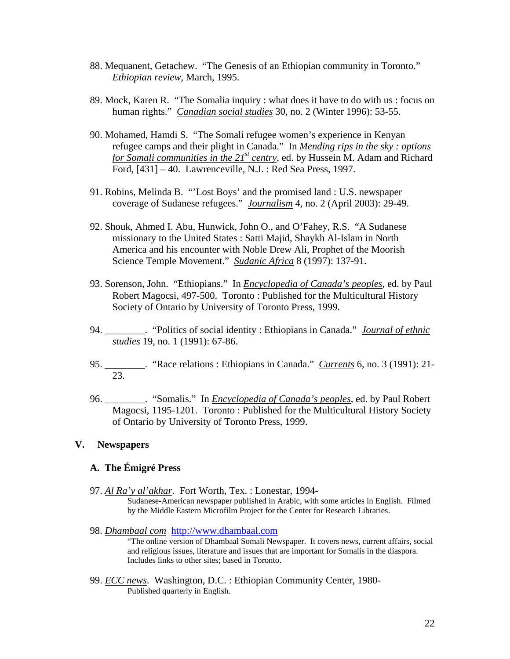- 88. Mequanent, Getachew. "The Genesis of an Ethiopian community in Toronto." *Ethiopian review*, March, 1995.
- 89. Mock, Karen R. "The Somalia inquiry : what does it have to do with us : focus on human rights." *Canadian social studies* 30, no. 2 (Winter 1996): 53-55.
- 90. Mohamed, Hamdi S. "The Somali refugee women's experience in Kenyan refugee camps and their plight in Canada." In *Mending rips in the sky : options for Somali communities in the 21<sup>st</sup> centry*, ed. by Hussein M. Adam and Richard Ford, [431] – 40. Lawrenceville, N.J. : Red Sea Press, 1997.
- 91. Robins, Melinda B. "'Lost Boys' and the promised land : U.S. newspaper coverage of Sudanese refugees." *Journalism* 4, no. 2 (April 2003): 29-49.
- 92. Shouk, Ahmed I. Abu, Hunwick, John O., and O'Fahey, R.S. "A Sudanese missionary to the United States : Satti Majid, Shaykh Al-Islam in North America and his encounter with Noble Drew Ali, Prophet of the Moorish Science Temple Movement." *Sudanic Africa* 8 (1997): 137-91.
- 93. Sorenson, John. "Ethiopians." In *Encyclopedia of Canada's peoples*, ed. by Paul Robert Magocsi, 497-500. Toronto : Published for the Multicultural History Society of Ontario by University of Toronto Press, 1999.
- 94. \_\_\_\_\_\_\_\_. "Politics of social identity : Ethiopians in Canada." *Journal of ethnic studies* 19, no. 1 (1991): 67-86.
- 95. \_\_\_\_\_\_\_\_. "Race relations : Ethiopians in Canada." *Currents* 6, no. 3 (1991): 21- 23.
- 96. \_\_\_\_\_\_\_\_. "Somalis." In *Encyclopedia of Canada's peoples*, ed. by Paul Robert Magocsi, 1195-1201. Toronto : Published for the Multicultural History Society of Ontario by University of Toronto Press, 1999.

# **V. Newspapers**

# **A. The Émigré Press**

- 97. *Al Ra'y al'akhar*. Fort Worth, Tex. : Lonestar, 1994- Sudanese-American newspaper published in Arabic, with some articles in English. Filmed by the Middle Eastern Microfilm Project for the Center for Research Libraries.
- 98. *Dhambaal com* http://www.dhambaal.com

"The online version of Dhambaal Somali Newspaper. It covers news, current affairs, social and religious issues, literature and issues that are important for Somalis in the diaspora. Includes links to other sites; based in Toronto.

99. *ECC news*. Washington, D.C. : Ethiopian Community Center, 1980- Published quarterly in English.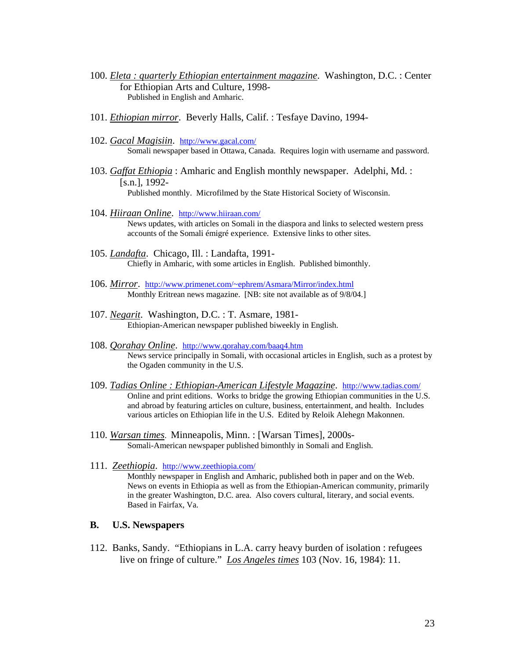- 100. *Eleta : quarterly Ethiopian entertainment magazine*. Washington, D.C. : Center for Ethiopian Arts and Culture, 1998- Published in English and Amharic.
- 101. *Ethiopian mirror*. Beverly Halls, Calif. : Tesfaye Davino, 1994-
- 102. *Gacal Magisiin*. http://www.gacal.com/ Somali newspaper based in Ottawa, Canada. Requires login with username and password.
- 103. *Gaffat Ethiopia* : Amharic and English monthly newspaper. Adelphi, Md. : [s.n.], 1992- Published monthly. Microfilmed by the State Historical Society of Wisconsin.
- 104. *Hiiraan Online*. http://www.hiiraan.com/ News updates, with articles on Somali in the diaspora and links to selected western press accounts of the Somali émigré experience. Extensive links to other sites.
- 105. *Landafta*. Chicago, Ill. : Landafta, 1991- Chiefly in Amharic, with some articles in English. Published bimonthly.
- 106. *Mirror*. http://www.primenet.com/~ephrem/Asmara/Mirror/index.html<br>Monthly Eritrean news magazine. [NB: site not available as of 9/8/04.]
- 107. *Negarit*. Washington, D.C. : T. Asmare, 1981- Ethiopian-American newspaper published biweekly in English.
- 108. *Qorahay Online*. http://www.qorahay.com/baaq4.htm<br>News service principally in Somali, with occasional articles in English, such as a protest by the Ogaden community in the U.S.
- 109. *Tadias Online : Ethiopian-American Lifestyle Magazine*. http://www.tadias.com/ Online and print editions. Works to bridge the growing Ethiopian communities in the U.S. and abroad by featuring articles on culture, business, entertainment, and health. Includes various articles on Ethiopian life in the U.S. Edited by Reloik Alehegn Makonnen.
- 110. *Warsan times*. Minneapolis, Minn. : [Warsan Times], 2000s-Somali-American newspaper published bimonthly in Somali and English.
- 111. *Zeethiopia*. http://www.zeethiopia.com/<br>Monthly newspaper in English and Amharic, published both in paper and on the Web. News on events in Ethiopia as well as from the Ethiopian-American community, primarily in the greater Washington, D.C. area. Also covers cultural, literary, and social events. Based in Fairfax, Va.

#### **B. U.S. Newspapers**

112. Banks, Sandy. "Ethiopians in L.A. carry heavy burden of isolation : refugees live on fringe of culture." *Los Angeles times* 103 (Nov. 16, 1984): 11.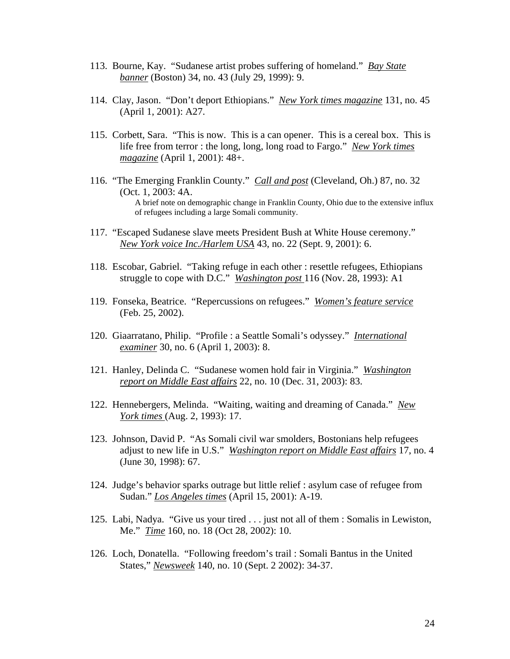- 113. Bourne, Kay. "Sudanese artist probes suffering of homeland." *Bay State banner* (Boston) 34, no. 43 (July 29, 1999): 9.
- 114. Clay, Jason. "Don't deport Ethiopians." *New York times magazine* 131, no. 45 (April 1, 2001): A27.
- 115. Corbett, Sara. "This is now. This is a can opener. This is a cereal box. This is life free from terror : the long, long, long road to Fargo." *New York times magazine* (April 1, 2001): 48+.
- 116. "The Emerging Franklin County." *Call and post* (Cleveland, Oh.) 87, no. 32 (Oct. 1, 2003: 4A. A brief note on demographic change in Franklin County, Ohio due to the extensive influx of refugees including a large Somali community.
- 117. "Escaped Sudanese slave meets President Bush at White House ceremony." *New York voice Inc./Harlem USA* 43, no. 22 (Sept. 9, 2001): 6.
- 118. Escobar, Gabriel. "Taking refuge in each other : resettle refugees, Ethiopians struggle to cope with D.C." *Washington post* 116 (Nov. 28, 1993): A1
- 119. Fonseka, Beatrice. "Repercussions on refugees." *Women's feature service* (Feb. 25, 2002).
- 120. Giaarratano, Philip. "Profile : a Seattle Somali's odyssey." *International examiner* 30, no. 6 (April 1, 2003): 8.
- 121. Hanley, Delinda C. "Sudanese women hold fair in Virginia." *Washington report on Middle East affairs* 22, no. 10 (Dec. 31, 2003): 83.
- 122. Hennebergers, Melinda. "Waiting, waiting and dreaming of Canada." *New York times* (Aug. 2, 1993): 17.
- 123. Johnson, David P. "As Somali civil war smolders, Bostonians help refugees adjust to new life in U.S." *Washington report on Middle East affairs* 17, no. 4 (June 30, 1998): 67.
- 124. Judge's behavior sparks outrage but little relief : asylum case of refugee from Sudan." *Los Angeles times* (April 15, 2001): A-19.
- 125. Labi, Nadya. "Give us your tired . . . just not all of them : Somalis in Lewiston, Me." *Time* 160, no. 18 (Oct 28, 2002): 10.
- 126. Loch, Donatella. "Following freedom's trail : Somali Bantus in the United States," *Newsweek* 140, no. 10 (Sept. 2 2002): 34-37.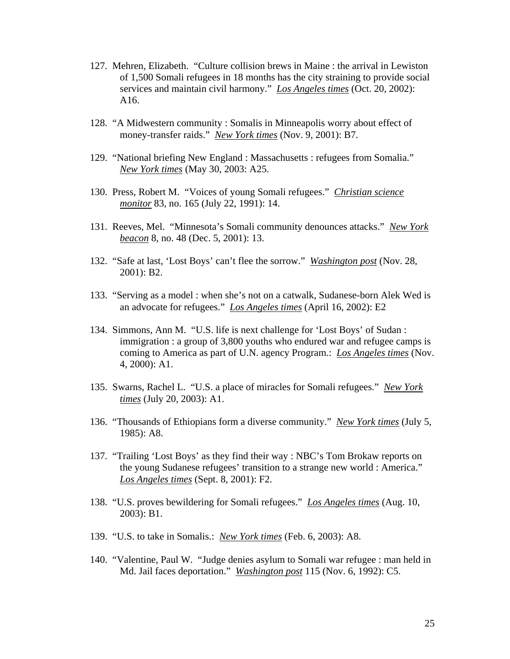- 127. Mehren, Elizabeth. "Culture collision brews in Maine : the arrival in Lewiston of 1,500 Somali refugees in 18 months has the city straining to provide social services and maintain civil harmony." *Los Angeles times* (Oct. 20, 2002): A16.
- 128. "A Midwestern community : Somalis in Minneapolis worry about effect of money-transfer raids." *New York times* (Nov. 9, 2001): B7.
- 129. "National briefing New England : Massachusetts : refugees from Somalia." *New York times* (May 30, 2003: A25.
- 130. Press, Robert M. "Voices of young Somali refugees." *Christian science monitor* 83, no. 165 (July 22, 1991): 14.
- 131. Reeves, Mel. "Minnesota's Somali community denounces attacks." *New York beacon* 8, no. 48 (Dec. 5, 2001): 13.
- 132. "Safe at last, 'Lost Boys' can't flee the sorrow." *Washington post* (Nov. 28, 2001): B2.
- 133. "Serving as a model : when she's not on a catwalk, Sudanese-born Alek Wed is an advocate for refugees." *Los Angeles times* (April 16, 2002): E2
- 134. Simmons, Ann M. "U.S. life is next challenge for 'Lost Boys' of Sudan : immigration : a group of 3,800 youths who endured war and refugee camps is coming to America as part of U.N. agency Program.: *Los Angeles times* (Nov. 4, 2000): A1.
- 135. Swarns, Rachel L. "U.S. a place of miracles for Somali refugees." *New York times* (July 20, 2003): A1.
- 136. "Thousands of Ethiopians form a diverse community." *New York times* (July 5, 1985): A8.
- 137. "Trailing 'Lost Boys' as they find their way : NBC's Tom Brokaw reports on the young Sudanese refugees' transition to a strange new world : America." *Los Angeles times* (Sept. 8, 2001): F2.
- 138. "U.S. proves bewildering for Somali refugees." *Los Angeles times* (Aug. 10, 2003): B1.
- 139. "U.S. to take in Somalis.: *New York times* (Feb. 6, 2003): A8.
- 140. "Valentine, Paul W. "Judge denies asylum to Somali war refugee : man held in Md. Jail faces deportation." *Washington post* 115 (Nov. 6, 1992): C5.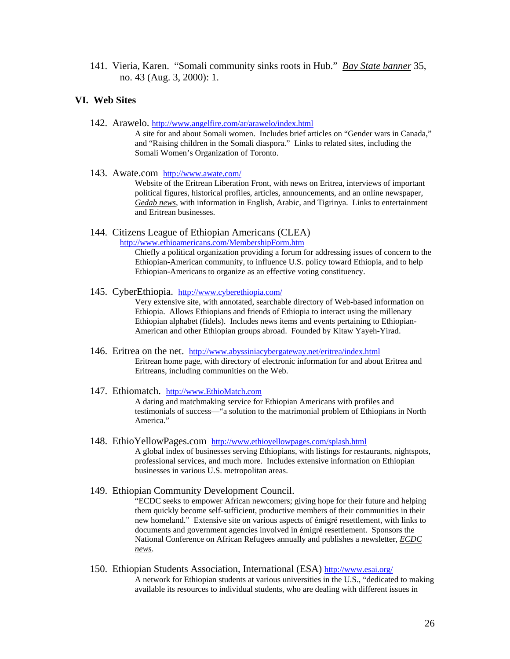141. Vieria, Karen. "Somali community sinks roots in Hub." *Bay State banner* 35, no. 43 (Aug. 3, 2000): 1.

#### **VI. Web Sites**

142. Arawelo. http://www.angelfire.com/ar/arawelo/index.html

A site for and about Somali women. Includes brief articles on "Gender wars in Canada," and "Raising children in the Somali diaspora." Links to related sites, including the Somali Women's Organization of Toronto.

143. Awate.com http://www.awate.com/

Website of the Eritrean Liberation Front, with news on Eritrea, interviews of important political figures, historical profiles, articles, announcements, and an online newspaper, *Gedab news*, with information in English, Arabic, and Tigrinya. Links to entertainment and Eritrean businesses.

144. Citizens League of Ethiopian Americans (CLEA)

http://www.ethioamericans.com/MembershipForm.htm<br>Chiefly a political organization providing a forum for addressing issues of concern to the Ethiopian-American community, to influence U.S. policy toward Ethiopia, and to help Ethiopian-Americans to organize as an effective voting constituency.

145. CyberEthiopia. http://www.cyberethiopia.com/

Very extensive site, with annotated, searchable directory of Web-based information on Ethiopia. Allows Ethiopians and friends of Ethiopia to interact using the millenary Ethiopian alphabet (fidels). Includes news items and events pertaining to Ethiopian-American and other Ethiopian groups abroad. Founded by Kitaw Yayeh-Yirad.

- 146. Eritrea on the net. http://www.abyssiniacybergateway.net/eritrea/index.html<br>Eritrean home page, with directory of electronic information for and about Eritrea and Eritreans, including communities on the Web.
- 147. Ethiomatch. http://www.EthioMatch.com

A dating and matchmaking service for Ethiopian Americans with profiles and testimonials of success—"a solution to the matrimonial problem of Ethiopians in North America."

- 148. EthioYellowPages.com http://www.ethioyellowpages.com/splash.html A global index of businesses serving Ethiopians, with listings for restaurants, nightspots, professional services, and much more. Includes extensive information on Ethiopian businesses in various U.S. metropolitan areas.
- 149. Ethiopian Community Development Council. "ECDC seeks to empower African newcomers; giving hope for their future and helping them quickly become self-sufficient, productive members of their communities in their new homeland." Extensive site on various aspects of émigré resettlement, with links to documents and government agencies involved in émigré resettlement. Sponsors the National Conference on African Refugees annually and publishes a newsletter, *ECDC news*.
- 150. Ethiopian Students Association, International (ESA) http://www.esai.org/ A network for Ethiopian students at various universities in the U.S., "dedicated to making available its resources to individual students, who are dealing with different issues in